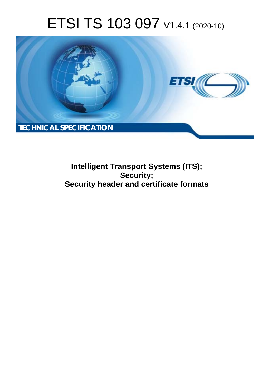# ETSI TS 103 097 V1.4.1 (2020-10)



**Intelligent Transport Systems (ITS); Security; Security header and certificate formats**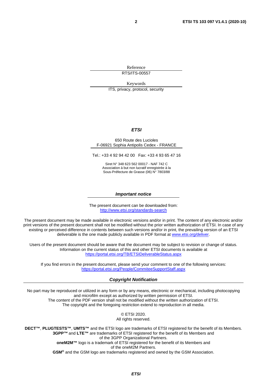Reference RTS/ITS-00557

Keywords

ITS, privacy, protocol, security

#### *ETSI*

#### 650 Route des Lucioles F-06921 Sophia Antipolis Cedex - FRANCE

Tel.: +33 4 92 94 42 00 Fax: +33 4 93 65 47 16

Siret N° 348 623 562 00017 - NAF 742 C Association à but non lucratif enregistrée à la Sous-Préfecture de Grasse (06) N° 7803/88

#### *Important notice*

The present document can be downloaded from: <http://www.etsi.org/standards-search>

The present document may be made available in electronic versions and/or in print. The content of any electronic and/or print versions of the present document shall not be modified without the prior written authorization of ETSI. In case of any existing or perceived difference in contents between such versions and/or in print, the prevailing version of an ETSI deliverable is the one made publicly available in PDF format at [www.etsi.org/deliver](http://www.etsi.org/deliver).

Users of the present document should be aware that the document may be subject to revision or change of status. Information on the current status of this and other ETSI documents is available at <https://portal.etsi.org/TB/ETSIDeliverableStatus.aspx>

If you find errors in the present document, please send your comment to one of the following services: <https://portal.etsi.org/People/CommiteeSupportStaff.aspx>

#### *Copyright Notification*

No part may be reproduced or utilized in any form or by any means, electronic or mechanical, including photocopying and microfilm except as authorized by written permission of ETSI. The content of the PDF version shall not be modified without the written authorization of ETSI. The copyright and the foregoing restriction extend to reproduction in all media.

> © ETSI 2020. All rights reserved.

**DECT™**, **PLUGTESTS™**, **UMTS™** and the ETSI logo are trademarks of ETSI registered for the benefit of its Members. **3GPP™** and **LTE™** are trademarks of ETSI registered for the benefit of its Members and of the 3GPP Organizational Partners. **oneM2M™** logo is a trademark of ETSI registered for the benefit of its Members and of the oneM2M Partners. **GSM®** and the GSM logo are trademarks registered and owned by the GSM Association.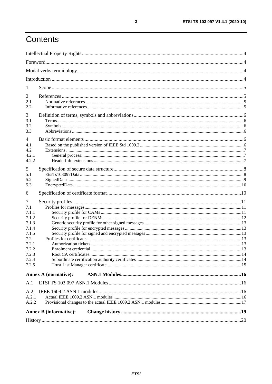# Contents

| $\mathbf{I}$ |                               |  |
|--------------|-------------------------------|--|
| 2            |                               |  |
| 2.1          |                               |  |
| 2.2          |                               |  |
| 3            |                               |  |
| 3.1          |                               |  |
| 3.2          |                               |  |
| 3.3          |                               |  |
| 4            |                               |  |
| 4.1          |                               |  |
| 4.2.         |                               |  |
| 4.2.1        |                               |  |
| 4.2.2        |                               |  |
| 5            |                               |  |
| 5.1          |                               |  |
| 5.2          |                               |  |
| 5.3          |                               |  |
| 6            |                               |  |
| 7            |                               |  |
| 7.1          |                               |  |
| 7.1.1        |                               |  |
| 7.1.2        |                               |  |
| 7.1.3        |                               |  |
| 7.1.4        |                               |  |
| 7.1.5        |                               |  |
| 7.2<br>7.2.1 |                               |  |
| 7.2.2        |                               |  |
| 7.2.3        |                               |  |
| 7.2.4        |                               |  |
| 7.2.5        |                               |  |
|              | <b>Annex A (normative):</b>   |  |
| A.1          |                               |  |
|              |                               |  |
| A.2<br>A.2.1 |                               |  |
| A.2.2        |                               |  |
|              |                               |  |
|              | <b>Annex B</b> (informative): |  |
|              |                               |  |

 $\mathbf{3}$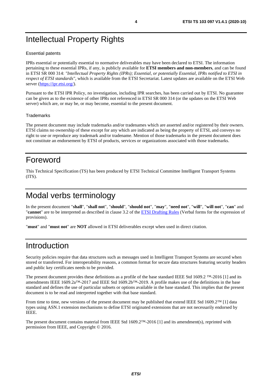# <span id="page-3-0"></span>Intellectual Property Rights

#### Essential patents

IPRs essential or potentially essential to normative deliverables may have been declared to ETSI. The information pertaining to these essential IPRs, if any, is publicly available for **ETSI members and non-members**, and can be found in ETSI SR 000 314: *"Intellectual Property Rights (IPRs); Essential, or potentially Essential, IPRs notified to ETSI in respect of ETSI standards"*, which is available from the ETSI Secretariat. Latest updates are available on the ETSI Web server [\(https://ipr.etsi.org/](https://ipr.etsi.org/)).

Pursuant to the ETSI IPR Policy, no investigation, including IPR searches, has been carried out by ETSI. No guarantee can be given as to the existence of other IPRs not referenced in ETSI SR 000 314 (or the updates on the ETSI Web server) which are, or may be, or may become, essential to the present document.

#### **Trademarks**

The present document may include trademarks and/or tradenames which are asserted and/or registered by their owners. ETSI claims no ownership of these except for any which are indicated as being the property of ETSI, and conveys no right to use or reproduce any trademark and/or tradename. Mention of those trademarks in the present document does not constitute an endorsement by ETSI of products, services or organizations associated with those trademarks.

### Foreword

This Technical Specification (TS) has been produced by ETSI Technical Committee Intelligent Transport Systems (ITS).

# Modal verbs terminology

In the present document "**shall**", "**shall not**", "**should**", "**should not**", "**may**", "**need not**", "**will**", "**will not**", "**can**" and "**cannot**" are to be interpreted as described in clause 3.2 of the [ETSI Drafting Rules](https://portal.etsi.org/Services/editHelp!/Howtostart/ETSIDraftingRules.aspx) (Verbal forms for the expression of provisions).

"**must**" and "**must not**" are **NOT** allowed in ETSI deliverables except when used in direct citation.

### Introduction

Security policies require that data structures such as messages used in Intelligent Transport Systems are secured when stored or transferred. For interoperability reasons, a common format for secure data structures featuring security headers and public key certificates needs to be provided.

The present document provides these definitions as a profile of the base standard IEEE Std 1609.2 ™-2016 [\[1](#page-4-0)] and its amendments IEEE 1609.2a™-2017 and IEEE Std 1609.2b™-2019. A profile makes use of the definitions in the base standard and defines the use of particular subsets or options available in the base standard. This implies that the present document is to be read and interpreted together with that base standard.

From time to time, new versions of the present document may be published that extend IEEE Std 1609.2™ [\[1](#page-4-0)] data types using ASN.1 extension mechanisms to define ETSI originated extensions that are not necessarily endorsed by IEEE.

The present document contains material from IEEE Std 1609.2™-2016 [\[1](#page-4-0)] and its amendment(s), reprinted with permission from IEEE, and Copyright © 2016.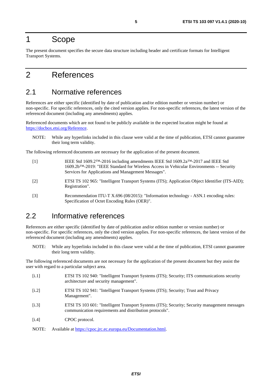### <span id="page-4-0"></span>1 Scope

The present document specifies the secure data structure including header and certificate formats for Intelligent Transport Systems.

### 2 References

### 2.1 Normative references

References are either specific (identified by date of publication and/or edition number or version number) or non-specific. For specific references, only the cited version applies. For non-specific references, the latest version of the referenced document (including any amendments) applies.

Referenced documents which are not found to be publicly available in the expected location might be found at <https://docbox.etsi.org/Reference>.

NOTE: While any hyperlinks included in this clause were valid at the time of publication, ETSI cannot guarantee their long term validity.

The following referenced documents are necessary for the application of the present document.

| $\lceil 1 \rceil$ | IEEE Std 1609.2 <sup>TM</sup> -2016 including amendments IEEE Std 1609.2a <sup>TM</sup> -2017 and IEEE Std |
|-------------------|------------------------------------------------------------------------------------------------------------|
|                   | 1609.2b™-2019: "IEEE Standard for Wireless Access in Vehicular Environments -- Security                    |
|                   | Services for Applications and Management Messages".                                                        |

- [2] ETSI TS 102 965: "Intelligent Transport Systems (ITS); Application Object Identifier (ITS-AID); Registration".
- [3] Recommendation ITU-T X.696 (08/2015): "Information technology ASN.1 encoding rules: Specification of Octet Encoding Rules (OER)".

### 2.2 Informative references

References are either specific (identified by date of publication and/or edition number or version number) or non-specific. For specific references, only the cited version applies. For non-specific references, the latest version of the referenced document (including any amendments) applies.

NOTE: While any hyperlinks included in this clause were valid at the time of publication, ETSI cannot guarantee their long term validity.

The following referenced documents are not necessary for the application of the present document but they assist the user with regard to a particular subject area.

- [i.1] ETSI TS 102 940: "Intelligent Transport Systems (ITS); Security; ITS communications security architecture and security management".
- [i.2] ETSI TS 102 941: "Intelligent Transport Systems (ITS); Security; Trust and Privacy Management".
- [i.3] ETSI TS 103 601: "Intelligent Transport Systems (ITS); Security; Security management messages communication requirements and distribution protocols".
- [i.4] CPOC protocol.

NOTE: Available at<https://cpoc.jrc.ec.europa.eu/Documentation.html>.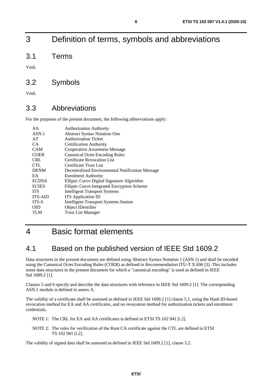# <span id="page-5-0"></span>3 Definition of terms, symbols and abbreviations

3.1 Terms

Void.

### 3.2 Symbols

Void.

### 3.3 Abbreviations

For the purposes of the present document, the following abbreviations apply:

| AA             | <b>Authorization Authority</b>                   |
|----------------|--------------------------------------------------|
| ASN.1          | <b>Abstract Syntax Notation One</b>              |
| AT             | <b>Authorization Ticket</b>                      |
| CA.            | <b>Certification Authority</b>                   |
| <b>CAM</b>     | Cooperative Awareness Message                    |
| <b>COER</b>    | <b>Canonical Octet Encoding Rules</b>            |
| <b>CRL</b>     | <b>Certificate Revocation List</b>               |
| <b>CTL</b>     | Certificate Trust List                           |
| <b>DENM</b>    | Decentralized Environmental Notification Message |
| EA             | <b>Enrolment Authority</b>                       |
| <b>ECDSA</b>   | Elliptic Curve Digital Signature Algorithm       |
| <b>ECIES</b>   | Elliptic Curve Integrated Encryption Scheme      |
| <b>ITS</b>     | <b>Intelligent Transport Systems</b>             |
| <b>ITS-AID</b> | <b>ITS</b> Application <b>ID</b>                 |
| ITS-S          | <b>Intelligent Transport Systems Station</b>     |
| <b>OID</b>     | Object IDentifier                                |
| TLM            | <b>Trust List Manager</b>                        |
|                |                                                  |

### 4 Basic format elements

### 4.1 Based on the published version of IEEE Std 1609.2

Data structures in the present document are defined using Abstract Syntax Notation 1 (ASN.1) and shall be encoded using the Canonical Octet Encoding Rules (COER) as defined in Recommendation ITU-T X.696 [\[3](#page-4-0)]. This includes some data structures in the present document for which a "canonical encoding" is used as defined in IEEE Std 1609.2 [\[1](#page-4-0)].

Clauses 5 and 6 specify and describe the data structures with reference to IEEE Std 1609.2 [\[1](#page-4-0)]. The corresponding ASN.1 module is defined in annex A.

The validity of a certificate shall be assessed as defined in IEEE Std 1609.2 [\[1](#page-4-0)] clause 5.1, using the Hash ID-based revocation method for EA and AA certificates, and no revocation method for authorization tickets and enrolment credentials.

NOTE 1: The CRL for EA and AA certificates is defined in ETSI TS 102 941 [\[i.2](#page-4-0)].

NOTE 2: The rules for verification of the Root CA certificate against the CTL are defined in ETSI TS 102 941 [\[i.2](#page-4-0)].

The validity of signed data shall be assessed as defined in IEEE Std 1609.2 [\[1](#page-4-0)], clause 5.2.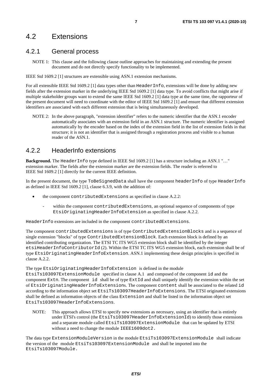### <span id="page-6-0"></span>4.2 Extensions

#### 4.2.1 General process

NOTE 1: This clause and the following clause outline approaches for maintaining and extending the present document and do not directly specify functionality to be implemented.

IEEE Std 1609.2 [\[1](#page-4-0)] structures are extensible using ASN.1 extension mechanisms.

For all extensible IEEE Std 1609.2 [\[1](#page-4-0)] data types other than HeaderInfo, extensions will be done by adding new fields after the extension marker in the underlying IEEE Std 1609.2 [\[1](#page-4-0)] data type. To avoid conflicts that might arise if multiple stakeholder groups want to extend the same IEEE Std 1609.2 [\[1](#page-4-0)] data type at the same time, the rapporteur of the present document will need to coordinate with the editor of IEEE Std 1609.2 [\[1](#page-4-0)] and ensure that different extension identifiers are associated with each different extension that is being simultaneously developed.

NOTE 2: In the above paragraph, "extension identifier" refers to the numeric identifier that the ASN.1 encoder automatically associates with an extension field in an ASN.1 structure. The numeric identifier is assigned automatically by the encoder based on the index of the extension field in the list of extension fields in that structure; it is not an identifier that is assigned through a registration process and visible to a human reader of the ASN.1.

#### 4.2.2 HeaderInfo extensions

EtsiTs103097HeaderInfoExtensions.

**Background.** The HeaderInfo type defined in IEEE Std 1609.2 [\[1](#page-4-0)] has a structure including an ASN.1 "…" extension marker. The fields after the extension marker are the extension fields. The reader is referred to IEEE Std 1609.2 [\[1](#page-4-0)] directly for the current IEEE definition.

In the present document, the type ToBeSignedData shall have the component headerInfo of type HeaderInfo as defined in IEEE Std 1609.2 [\[1](#page-4-0)], clause 6.3.9, with the addition of:

- the component contributedExtensions as specified in clause A.2.2:
	- within the component contributedExtensions, an optional sequence of components of type EtsiOriginatingHeaderInfoExtension as specified in clause A.2.2.

HeaderInfo extensions are included in the component contributedExtensions.

The component contributedExtensions is of type ContributedExtensionBlocks and is a sequence of single extension "blocks" of type ContributedExtensionBlock. Each extension block is defined by an identified contributing organization. The ETSI TC ITS WG5 extension block shall be identified by the integer etsiHeaderInfoContributorId (2). Within the ETSI TC ITS WG5 extension block, each extension shall be of type EtsiOriginatingHeaderInfoExtension. ASN.1 implementing these design principles is specified in clause A.2.2.

The type EtsiOriginatingHeaderInfoExtension is defined in the module EtsiTs103097ExtensionModule specified in clause A.1 and composed of the component id and the component Extn. The component id shall be of type ExtId and shall uniquely identify the extension within the set of EtsiOriginatingHeaderInfoExtensions. The component content shall be associated to the related id according to the information object set EtsiTs103097HeaderInfoExtensions. The ETSI originated extensions shall be defined as information objects of the class Extension and shall be listed in the information object set

NOTE: This approach allows ETSI to specify new extensions as necessary, using an identifier that is entirely under ETSI's control (the EtsiTs103097HeaderInfoExtensionId) to identify those extensions and a separate module called EtsiTs103097ExtensionModule that can be updated by ETSI without a need to change the module IEEE1609dot2.

The data type ExtensionModuleVersion in the module EtsiTs103097ExtensionModule shall indicate the version of the module EtsiTs103097ExtensionModule and shall be imported into the EtsiTs103097Module.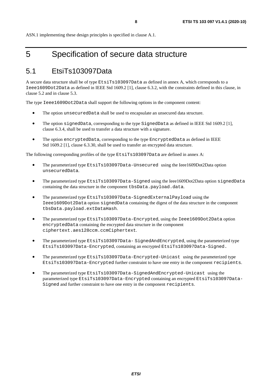# <span id="page-7-0"></span>5 Specification of secure data structure

### 5.1 EtsiTs103097Data

A secure data structure shall be of type EtsiTs103097Data as defined in annex A, which corresponds to a Ieee1609Dot2Data as defined in IEEE Std 1609.2 [\[1](#page-4-0)], clause 6.3.2, with the constraints defined in this clause, in clause 5.2 and in clause 5.3.

The type Ieee1609Dot2Data shall support the following options in the component content:

- The option unsecuredData shall be used to encapsulate an unsecured data structure.
- The option signedData, corresponding to the type SignedData as defined in IEEE Std 1609.2 [\[1](#page-4-0)], clause 6.3.4, shall be used to transfer a data structure with a signature.
- The option encryptedData, corresponding to the type EncryptedData as defined in IEEE Std 1609.2 [\[1](#page-4-0)], clause 6.3.30, shall be used to transfer an encrypted data structure.

The following corresponding profiles of the type EtsiTs103097Data are defined in annex A:

- The parameterized type EtsiTs103097Data-Unsecured using the Ieee1609Dot2Data option unsecuredData.
- The parameterized type EtsiTs103097Data-Signed using the Ieee1609Dot2Data option signedData containing the data structure in the component tbsData.payload.data.
- The parameterized type EtsiTs103097Data-SignedExternalPayload using the Ieee1609Dot2Data option signedData containing the digest of the data structure in the component tbsData.payload.extDataHash.
- The parameterized type EtsiTs103097Data-Encrypted, using the Ieee1609Dot2Data option encryptedData containing the encrypted data structure in the component ciphertext.aes128ccm.ccmCiphertext.
- The parameterized type EtsiTs103097Data- SignedAndEncrypted, using the parameterized type EtsiTs103097Data-Encrypted, containing an encrypted EtsiTs103097Data-Signed.
- The parameterized type EtsiTs103097Data-Encrypted-Unicast using the parameterized type EtsiTs103097Data-Encrypted further constraint to have one entry in the component recipients.
- The parameterized type EtsiTs103097Data-SignedAndEncrypted-Unicast using the parameterized type EtsiTs103097Data-Encrypted containing an encrypted EtsiTs103097Data-Signed and further constraint to have one entry in the component recipients.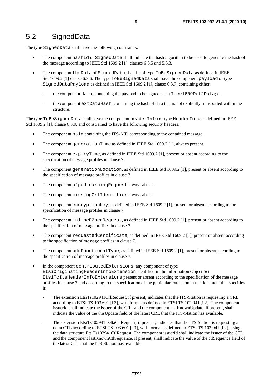### <span id="page-8-0"></span>5.2 SignedData

The type SignedData shall have the following constraints:

- The component hashId of SignedData shall indicate the hash algorithm to be used to generate the hash of the message according to IEEE Std 1609.2 [\[1](#page-4-0)], clauses 6.3.5 and 5.3.3.
- The component tbsData of SignedData shall be of type ToBeSignedData as defined in IEEE Std 1609.2 [\[1](#page-4-0)] clause 6.3.6. The type ToBeSignedData shall have the component payload of type SignedDataPayload as defined in IEEE Std 1609.2 [\[1](#page-4-0)], clause 6.3.7, containing either:
	- the component data, containing the payload to be signed as an Ieee1609Dot2Data; or
	- the component extDataHash, containing the hash of data that is not explicitly transported within the structure.

The type ToBeSignedData shall have the component headerInfo of type HeaderInfo as defined in IEEE Std 1609.2 [\[1](#page-4-0)], clause 6.3.9, and constrained to have the following security headers:

- The component psid containing the ITS-AID corresponding to the contained message.
- The component generationTime as defined in IEEE Std 1609.2 [\[1](#page-4-0)], always present.
- The component expiryTime, as defined in IEEE Std 1609.2 [\[1](#page-4-0)], present or absent according to the specification of message profiles in clause 7.
- The component generationLocation, as defined in IEEE Std 1609.2 [\[1](#page-4-0)], present or absent according to the specification of message profiles in clause 7.
- The component p2pcdLearningRequest always absent.
- The component missingCrlIdentifier always absent.
- The component encryptionKey, as defined in IEEE Std 1609.2 [\[1](#page-4-0)], present or absent according to the specification of message profiles in clause 7.
- The component inlineP2pcdRequest, as defined in IEEE Std 1609.2 [\[1](#page-4-0)], present or absent according to the specification of message profiles in clause 7.
- The component requestedCertificate, as defined in IEEE Std 1609.2 [\[1](#page-4-0)], present or absent according to the specification of message profiles in clause 7.
- The component pduFunctionalType, as defined in IEEE Std 1609.2 [\[1](#page-4-0)], present or absent according to the specification of message profiles in clause 7.
- In the component contributedExtensions, any component of type EtsiOriginatingHeaderInfoExtension identified in the Information Object Set EtsiTcItsHeaderInfoExtensions present or absent according to the specification of the message profiles in clause 7 and according to the specification of the particular extension in the document that specifies it:
	- The extension EtsiTs102941CrlRequest, if present, indicates that the ITS-Station is requesting a CRL according to ETSI TS 103 601 [\[i.3](#page-4-0)], with format as defined in ETSI TS 102 941 [\[i.2](#page-4-0)]. The component issuerId shall indicate the issuer of the CRL and the component lastKnownUpdate, if present, shall indicate the value of the thisUpdate field of the latest CRL that the ITS-Station has available.
	- The extension EtsiTs102941DeltaCtlRequest, if present, indicates that the ITS-Station is requesting a delta CTL according to ETSI TS 103 601 [\[i.3](#page-4-0)], with format as defined in ETSI TS 102 941 [\[i.2](#page-4-0)], using the data structure EtsiTs102941CtlRequest. The component issuerId shall indicate the issuer of the CTL and the component lastKnownCtlSequence, if present, shall indicate the value of the ctlSequence field of the latest CTL that the ITS-Station has available.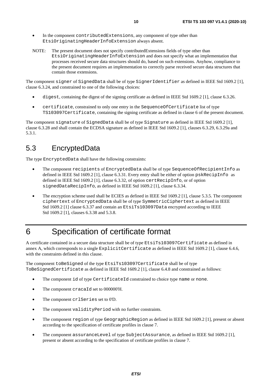- <span id="page-9-0"></span>In the component contributedExtensions, any component of type other than EtsiOriginatingHeaderInfoExtension always absent.
- NOTE: The present document does not specify contributedExtensions fields of type other than EtsiOriginatingHeaderInfoExtension and does not specify what an implementation that processes received secure data structures should do, based on such extensions. Anyhow, compliance to the present document requires an implementation to correctly parse received secure data structures that contain those extensions.

The component signer of SignedData shall be of type SignerIdentifier as defined in IEEE Std 1609.2 [\[1](#page-4-0)], clause 6.3.24, and constrained to one of the following choices:

- digest, containing the digest of the signing certificate as defined in IEEE Std 1609.2 [\[1](#page-4-0)], clause 6.3.26.
- certificate, constrained to only one entry in the SequenceOfCertificate list of type TS103097Certificate, containing the signing certificate as defined in clause 6 of the present document.

The component signature of SignedData shall be of type Signature as defined in IEEE Std 1609.2 [\[1](#page-4-0)], clause 6.3.28 and shall contain the ECDSA signature as defined in IEEE Std 1609.2 [\[1](#page-4-0)], clauses 6.3.29, 6.3.29a and 5.3.1.

### 5.3 EncryptedData

The type EncryptedData shall have the following constraints:

- The component recipients of EncryptedData shall be of type SequenceOfRecipientInfo as defined in IEEE Std 1609.2 [\[1](#page-4-0)], clause 6.3.31. Every entry shall be either of option pskRecipInfo as defined in IEEE Std 1609.2 [\[1](#page-4-0)], clause 6.3.32, of option certRecipInfo, or of option signedDataRecipInfo, as defined in IEEE Std 1609.2 [\[1](#page-4-0)], clause 6.3.34.
- The encryption scheme used shall be ECIES as defined in IEEE Std 1609.2 [\[1](#page-4-0)], clause 5.3.5. The component ciphertext of EncryptedData shall be of type SymmetricCiphertext as defined in IEEE Std 1609.2 [\[1](#page-4-0)] clause 6.3.37 and contain an EtsiTs103097Data encrypted according to IEEE Std 1609.2 [\[1](#page-4-0)], clauses 6.3.38 and 5.3.8.

# 6 Specification of certificate format

A certificate contained in a secure data structure shall be of type EtsiTs103097Certificate as defined in annex A, which corresponds to a single ExplicitCertificate as defined in IEEE Std 1609.2 [\[1](#page-4-0)], clause 6.4.6, with the constraints defined in this clause.

The component toBeSigned of the type EtsiTs103097Certificate shall be of type ToBeSignedCertificate as defined in IEEE Std 1609.2 [\[1](#page-4-0)], clause 6.4.8 and constrained as follows:

- The component id of type CertificateId constrained to choice type name or none.
- The component cracaId set to 000000'H.
- The component crlSeries set to 0'D.
- The component validityPeriod with no further constraints.
- The component region of type GeographicRegion as defined in IEEE Std 1609.2 [[1\]](#page-4-0), present or absent according to the specification of certificate profiles in clause 7.
- The component assuranceLevel of type SubjectAssurance, as defined in IEEE Std 1609.2 [\[1](#page-4-0)], present or absent according to the specification of certificate profiles in clause 7.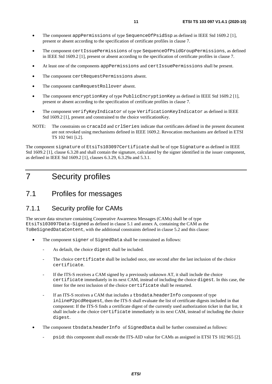- <span id="page-10-0"></span>• The component appPermissions of type SequenceOfPsidSsp as defined in IEEE Std 1609.2 [\[1](#page-4-0)], present or absent according to the specification of certificate profiles in clause 7.
- The component certIssuePermissions of type SequenceOfPsidGroupPermissions, as defined in IEEE Std 1609.2 [\[1](#page-4-0)], present or absent according to the specification of certificate profiles in clause 7.
- At least one of the components appPermissions and certIssuePermissions shall be present.
- The component certRequestPermissions absent.
- The component canRequestRollover absent.
- The component encryptionKey of type PublicEncryptionKey as defined in IEEE Std 1609.2 [\[1](#page-4-0)], present or absent according to the specification of certificate profiles in clause 7.
- The component verifyKeyIndicator of type VerificationKeyIndicator as defined in IEEE Std 1609.2 [\[1](#page-4-0)], present and constrained to the choice verificationKey.
- NOTE: The constraints on cracaId and crlSeries indicate that certificates defined in the present document are not revoked using mechanisms defined in IEEE 1609.2. Revocation mechanisms are defined in ETSI TS 102 941 [\[i.2](#page-4-0)].

The component signature of EtsiTs103097Certificate shall be of type Signature as defined in IEEE Std 1609.2 [\[1](#page-4-0)], clause 6.3.28 and shall contain the signature, calculated by the signer identified in the issuer component, as defined in IEEE Std 1609.2 [\[1](#page-4-0)], clauses 6.3.29, 6.3.29a and 5.3.1.

# 7 Security profiles

### 7.1 Profiles for messages

#### 7.1.1 Security profile for CAMs

The secure data structure containing Cooperative Awareness Messages (CAMs) shall be of type EtsiTs103097Data-Signed as defined in clause [5](#page-7-0).1 and annex A, containing the CAM as the ToBeSignedDataContent, with the additional constraints defined in clause 5.2 and this clause:

- The component signer of SignedData shall be constrained as follows:
	- As default, the choice digest shall be included.
	- The choice certificate shall be included once, one second after the last inclusion of the choice certificate.
	- If the ITS-S receives a CAM signed by a previously unknown AT, it shall include the choice certificate immediately in its next CAM, instead of including the choice digest. In this case, the timer for the next inclusion of the choice certificate shall be restarted.
	- If an ITS-S receives a CAM that includes a tbsdata.headerInfo component of type inlineP2pcdRequest, then the ITS-S shall evaluate the list of certificate digests included in that component: If the ITS-S finds a certificate digest of the currently used authorization ticket in that list, it shall include a the choice certificate immediately in its next CAM, instead of including the choice digest.
- The component tbsdata.headerInfo of SignedData shall be further constrained as follows:
	- psid: this component shall encode the ITS-AID value for CAMs as assigned in ETSI TS 102 965 [\[2](#page-4-0)].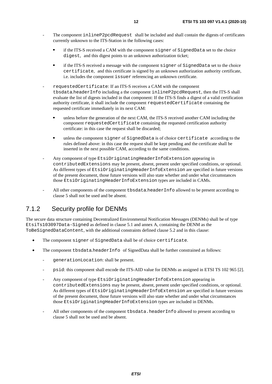- <span id="page-11-0"></span>The component inlineP2pcdRequest shall be included and shall contain the digests of certificates currently unknown to the ITS-Station in the following cases:
	- if the ITS-S received a CAM with the component signer of SignedData set to the choice digest, and this digest points to an unknown authorization ticket;
	- if the ITS-S received a message with the component signer of SignedData set to the choice certificate, and this certificate is signed by an unknown authorization authority certificate, i.e. includes the component issuer referencing an unknown certificate.
- requestedCertificate: If an ITS-S receives a CAM with the component tbsdata.headerInfo including a the component inlineP2pcdRequest, then the ITS-S shall evaluate the list of digests included in that component: If the ITS-S finds a digest of a valid certification authority certificate, it shall include the component requestedCertificate containing the requested certificate immediately in its next CAM:
	- unless before the generation of the next CAM, the ITS-S received another CAM including the component requestedCertificate containing the requested certification authority certificate: in this case the request shall be discarded;
	- unless the component signer of SignedData is of choice certificate according to the rules defined above: in this case the request shall be kept pending and the certificate shall be inserted in the next possible CAM, according to the same conditions.
- Any component of type EtsiOriginatingHeaderInfoExtension appearing in contributedExtensions may be present, absent, present under specified conditions, or optional. As different types of EtsiOriginatingHeaderInfoExtension are specified in future versions of the present document, those future versions will also state whether and under what circumstances those EtsiOriginatingHeaderInfoExtension types are included in CAMs.
- All other components of the component tbsdata.headerInfo allowed to be present according to clause 5 shall not be used and be absent.

#### 7.1.2 Security profile for DENMs

The secure data structure containing Decentralized Environmental Notification Messages (DENMs) shall be of type EtsiTs103097Data-Signed as defined in clause 5.1 and annex A, containing the DENM as the ToBeSignedDataContent, with the additional constraints defined clause 5.2 and in this clause:

- The component signer of SignedData shall be of choice certificate.
- The component tbsdata.headerInfo of SignedData shall be further constrained as follows:
	- generationLocation: shall be present.
	- psid: this component shall encode the ITS-AID value for DENMs as assigned in ETSI TS 102 965 [\[2](#page-4-0)].
	- Any component of type EtsiOriginatingHeaderInfoExtension appearing in contributedExtensions may be present, absent, present under specified conditions, or optional. As different types of EtsiOriginatingHeaderInfoExtension are specified in future versions of the present document, those future versions will also state whether and under what circumstances those EtsiOriginatingHeaderInfoExtension types are included in DENMs.
	- All other components of the component tbsdata.headerInfo allowed to present according to clause 5 shall not be used and be absent.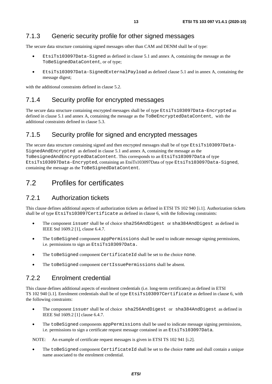### <span id="page-12-0"></span>7.1.3 Generic security profile for other signed messages

The secure data structure containing signed messages other than CAM and DENM shall be of type:

- EtsiTs103097Data-Signed as defined in clause 5.1 and annex A, containing the message as the ToBeSignedDataContent, or of type;
- EtsiTs103097Data-SignedExternalPayload as defined clause 5.1 and in annex A, containing the message digest;

with the additional constraints defined in clause 5.2.

#### 7.1.4 Security profile for encrypted messages

The secure data structure containing encrypted messages shall be of type EtsiTs103097Data-Encrypted as defined in clause 5.1 and annex A, containing the message as the ToBeEncryptedDataContent, with the additional constraints defined in clause 5.3.

#### 7.1.5 Security profile for signed and encrypted messages

The secure data structure containing signed and then encrypted messages shall be of type EtsiTs103097Data-SignedAndEncrypted as defined in clause 5.1 and annex A, containing the message as the ToBesignedAndEncryptedDataContent. This corresponds to an EtsiTs103097Data of type EtsiTs103097Data-Encrypted, containing an EtsiTs103097Data of type EtsiTs103097Data-Signed, containing the message as the ToBeSignedDataContent.

### 7.2 Profiles for certificates

#### 7.2.1 Authorization tickets

This clause defines additional aspects of authorization tickets as defined in ETSI TS 102 940 [\[i.1](#page-4-0)]. Authorization tickets shall be of type EtsiTs103097Certificate as defined in clause 6, with the following constraints:

- The component issuer shall be of choice sha256AndDigest or sha384AndDigest as defined in IEEE Std 1609.2 [\[1](#page-4-0)], clause 6.4.7.
- The toBeSigned component appPermissions shall be used to indicate message signing permissions, i.e. permissions to sign an EtsiTs103097Data.
- The toBeSigned component CertificateId shall be set to the choice none.
- The toBeSigned component certIssuePermissions shall be absent.

### 7.2.2 Enrolment credential

This clause defines additional aspects of enrolment credentials (i.e. long-term certificates) as defined in ETSI TS 102 940 [\[i.1](#page-4-0)]. Enrolment credentials shall be of type EtsiTs103097Certificate as defined in clause 6, with the following constraints:

- The component issuer shall be of choice sha256AndDigest or sha384AndDigest as defined in IEEE Std 1609.2 [\[1](#page-4-0)] clause 6.4.7.
- The toBeSigned components appPermissions shall be used to indicate message signing permissions, i.e. permissions to sign a certificate request message contained in an EtsiTs103097Data.

NOTE: An example of certificate request messages is given in ETSI TS 102 941 [\[i.2](#page-4-0)].

The toBeSigned component CertificateId shall be set to the choice name and shall contain a unique name associated to the enrolment credential.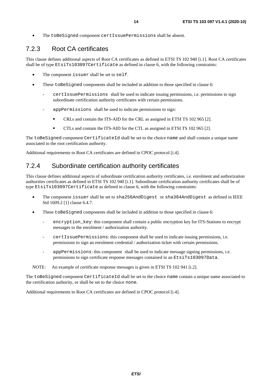<span id="page-13-0"></span>• The toBeSigned component certIssuePermissions shall be absent.

### 7.2.3 Root CA certificates

This clause defines additional aspects of Root CA certificates as defined in ETSI TS 102 940 [\[i.1](#page-4-0)]. Root CA certificates shall be of type EtsiTs103097Certificate as defined in clause 6, with the following constraints:

- The component issuer shall be set to self.
- These toBeSigned components shall be included in addition to those specified in clause 6:
	- certIssuePermissions shall be used to indicate issuing permissions, i.e. permissions to sign subordinate certification authority certificates with certain permissions.
	- appPermissions shall be used to indicate permissions to sign:
		- CRLs and contain the ITS-AID for the CRL as assigned in ETSI TS 102 965 [\[2](#page-4-0)].
		- CTLs and contain the ITS-AID for the CTL as assigned in ETSI TS 102 965 [\[2](#page-4-0)].

The toBeSigned component CertificateId shall be set to the choice name and shall contain a unique name associated to the root certification authority.

Additional requirements to Root CA certificates are defined in CPOC protocol [\[i.4](#page-4-0)].

### 7.2.4 Subordinate certification authority certificates

This clause defines additional aspects of subordinate certification authority certificates, i.e. enrolment and authorization authorities certificates as defined in ETSI TS 102 940 [\[i.1](#page-4-0)]. Subordinate certification authority certificates shall be of type EtsiTs103097Certificate as defined in clause 6, with the following constraints:

- The component issuer shall be set to sha256AndDigest or sha384AndDigest as defined in IEEE Std 1609.2 [\[1](#page-4-0)] clause 6.4.7.
- These toBeSigned components shall be included in addition to those specified in clause 6:
	- encryption key: this component shall contain a public encryption key for ITS-Stations to encrypt messages to the enrolment / authorization authority.
	- certIssuePermissions: this component shall be used to indicate issuing permissions, i.e. permissions to sign an enrolment credential / authorization ticket with certain permissions.
	- appPermissions: this component shall be used to indicate message signing permissions, i.e. permissions to sign certificate response messages contained in an EtsiTs103097Data.

NOTE: An example of certificate response messages is given in ETSI TS 102 941 [\[i.2](#page-4-0)].

The toBeSigned component CertificateId shall be set to the choice name contain a unique name associated to the certification authority, or shall be set to the choice none.

Additional requirements to Root CA certificates are defined in CPOC protocol [\[i.4](#page-4-0)].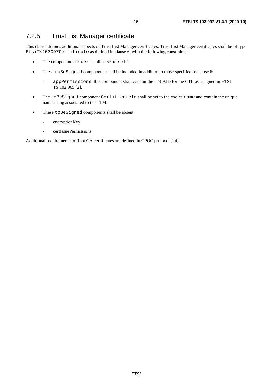### <span id="page-14-0"></span>7.2.5 Trust List Manager certificate

This clause defines additional aspects of Trust List Manager certificates. Trust List Manager certificates shall be of type EtsiTs103097Certificate as defined in clause 6, with the following constraints:

- The component issuer shall be set to self.
- These toBeSigned components shall be included in addition to those specified in clause 6:
	- appPermissions: this component shall contain the ITS-AID for the CTL as assigned in ETSI TS 102 965 [\[2](#page-4-0)].
- The toBeSigned component CertificateId shall be set to the choice name and contain the unique name string associated to the TLM.
- These toBeSigned components shall be absent:
	- encryptionKey.
	- certIssuePermissions.

Additional requirements to Root CA certificates are defined in CPOC protocol [\[i.4](#page-4-0)].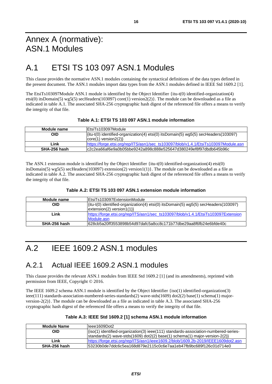# <span id="page-15-0"></span>Annex A (normative): ASN.1 Modules

# A.1 ETSI TS 103 097 ASN.1 Modules

This clause provides the normative ASN.1 modules containing the syntactical definitions of the data types defined in the present document. The ASN.1 modules import data types from the ASN.1 modules defined in IEEE Std 1609.2 [\[1](#page-4-0)].

The EtsiTs103097Module ASN.1 module is identified by the Object Identifier {itu-t(0) identified-organization(4) etsi(0) itsDomain(5) wg5(5) secHeaders(103097) core(1) version2(2)}. The module can be downloaded as a file as indicated in table A.1. The associated SHA-256 cryptographic hash digest of the referenced file offers a means to verify the integrity of that file.

#### **Table A.1: ETSI TS 103 097 ASN.1 module information**

| Module name  | IEtsiTs103097Module                                                                                             |
|--------------|-----------------------------------------------------------------------------------------------------------------|
| OID          | $\left  \frac{\text{fit}}{0} \right $ identified-organization(4) etsi(0) itsDomain(5) wg5(5) secHeaders(103097) |
|              | $ core(1)$ version $2(2)$                                                                                       |
| Link         | https://forge.etsi.org/rep/ITS/asn1/sec_ts103097/blob/v1.4.1/EtsiTs103097Module.asn                             |
| SHA-256 hash | lc2c2ea66af6e9a0b05bbe9242a898c888e525647d380249ef8f97dbdb645b96c                                               |

The ASN.1 extension module is identified by the Object Identifier  $\{itu-t(0)\}$  identified-organization(4) etsi(0) itsDomain(5) wg5(5) secHeaders(103097) extension(2) version1(1)}. The module can be downloaded as a file as indicated in table A.2. The associated SHA-256 cryptographic hash digest of the referenced file offers a means to verify the integrity of that file.

| Table A.2: ETSI TS 103 097 ASN.1 extension module information |  |  |  |
|---------------------------------------------------------------|--|--|--|
|---------------------------------------------------------------|--|--|--|

| Module name  | IEtsiTs103097ExtensionModule                                                                                                                            |
|--------------|---------------------------------------------------------------------------------------------------------------------------------------------------------|
| OID          | $\left  \frac{\text{fitu-t}(0) \text{ identified-organization}(4) \text{ets}(0) \text{ itsDomain}(5) \text{ wgs}(5) \text{ secHeaders}(103097) \right $ |
|              | extension(2) version(1)                                                                                                                                 |
| Link         | https://forge.etsi.org/rep/ITS/asn1/sec_ts103097/blob/v1.4.1/EtsiTs103097Extension                                                                      |
|              | Module, asn                                                                                                                                             |
| SHA-256 hash | l628cb5a20ff3553898b54d97dafc5a8cc8c171b77dbe29aa8f6fb24e6bfde40c                                                                                       |

# A.2 IEEE 1609.2 ASN.1 modules

### A.2.1 Actual IEEE 1609.2 ASN.1 modules

This clause provides the relevant ASN.1 modules from IEEE Std 1609.2 [\[1](#page-4-0)] (and its amendments), reprinted with permission from IEEE, Copyright © 2016.

The IEEE 1609.2 schema ASN.1 module is identified by the Object Identifier {iso(1) identified-organization(3) ieee(111) standards-association-numbered-series-standards(2) wave-stds(1609) dot2(2) base(1) schema(1) majorversion-2(2)}. The module can be downloaded as a file as indicated in table A.3. The associated SHA-256 cryptographic hash digest of the referenced file offers a means to verify the integrity of that file.

| <b>Module Name</b> | lleee1609Dot2                                                                       |
|--------------------|-------------------------------------------------------------------------------------|
| <b>OID</b>         | {iso(1) identified-organization(3) ieee(111) standards-association-numbered-series- |
|                    | $ $ standards(2) wave-stds(1609) dot2(2) base(1) schema(1) major-version-2(2)}      |
| Link               | https://forge.etsi.org/rep/ITS/asn1/ieee1609.2/blob/1609.2b-2019/IEEE1609dot2.asn   |
| SHA-256 hash       | l53230b0de7ddc6c5ea168d879e2115c0c6e7aa1eb47fb9bc689f126c01d714e0                   |

#### **Table A.3: IEEE Std 1609.2 [\[1](#page-4-0)] schema ASN.1 module information**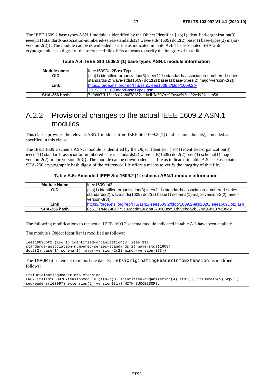<span id="page-16-0"></span>The IEEE 1609.2 base types ASN.1 module is identified by the Object Identifier {iso(1) identified-organization(3) ieee(111) standards-association-numbered-series-standards(2) wave-stds(1609) dot2(2) base(1) base-types(2) majorversion-2(2)}. The module can be downloaded as a file as indicated in table A.4. The associated SHA-256 cryptographic hash digest of the referenced file offers a means to verify the integrity of that file.

**Table A.4: IEEE Std 1609.2 [\[1\]](#page-4-0) base types ASN.1 module information** 

| Module name  | leee1609Dot2BaseTypes                                                               |
|--------------|-------------------------------------------------------------------------------------|
| OID          | {iso(1) identified-organization(3) ieee(111) standards-association-numbered-series- |
|              | $ stands(2)$ wave-stds(1609) dot2(2) base(1) base-types(2) major-version-2(2)}      |
| Link         | https://forge.etsi.org/rep/ITS/asn1/ieee1609.2/blob/1609.2b-                        |
|              | 2019/IEEE1609dot2BaseTypes.asn                                                      |
| SHA-256 hash | l71fb8b72b15ac8cd2a80f786521cd0db7a5f69cc9f9eaa593de92ed924e4eb5d                   |
|              |                                                                                     |

### A.2.2 Provisional changes to the actual IEEE 1609.2 ASN.1 modules

This clause provides the relevant ASN.1 modules from IEEE Std 1609.2 [\[1](#page-4-0)] (and its amendments), amended as specified in this clause.

The IEEE 1609.2 schema ASN.1 module is identified by the Object Identifier {iso(1) identified-organization(3) ieee(111) standards-association-numbered-series-standards(2) wave-stds(1609) dot2(2) base(1) schema(1) majorversion-2(2) minor-version-3(3)}. The module can be downloaded as a file as indicated in table A.5. The associated SHA-256 cryptographic hash digest of the referenced file offers a means to verify the integrity of that file.

#### **Table A.5: Amended IEEE Std 1609.2 [[1](#page-4-0)] schema ASN.1 module information**

| <b>Module Name</b> | lleee1609dot2                                                                                                                                                                              |
|--------------------|--------------------------------------------------------------------------------------------------------------------------------------------------------------------------------------------|
| <b>OID</b>         | {iso(1) identified-organization(3) ieee(111) standards-association-numbered-series-<br>standards(2) wave-stds(1609) dot2(2) base(1) schema(1) major-version-2(2) minor-<br>version- $3(3)$ |
| Link               | https://forge.etsi.org/rep/ITS/asn1/ieee1609.2/blob/1609.2-etsi2020/leee1609Dot2.asn                                                                                                       |
| SHA-256 hash       | l6c6131b4e748e775c82aedda96aba379903ec51d99ebda2b378a96da87fd08e2                                                                                                                          |

The following modifications to the actual IEEE 1609.2 schema module indicated in table A.3 have been applied:

The module's Object Identifier is modified as follows:

```
Ieee1609Dot2 {iso(1) identified-organization(3) ieee(111) 
standards-association-numbered-series-standards(2) wave-stds(1609) 
dot2(2) base(1) scheme(1) map-version-2(2) minor-version-3(3)
```
The IMPORTS statement to import the data type EtsiOriginatingHeaderInfoExtension is modified as follows:

EtsiOriginatingHeaderInfoExtension FROM EtsiTs103097ExtensionModule {itu-t(0) identified-organization(4) etsi(0) itsDomain(5) wg5(5) secHeaders(103097) extension(2) version1(1)} WITH SUCCESSORS;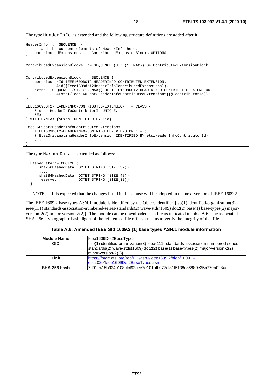The type HeaderInfo is extended and the following structure definitions are added after it:

```
HeaderInfo ::= SEQUENCE { 
     -- add the current elements of HeaderInfo here. 
                                contributedExtensions ContributedExtensionBlocks OPTIONAL 
} 
ContributedExtensionBlocks ::= SEQUENCE (SIZE(1..MAX)) OF ContributedExtensionBlock 
ContributedExtensionBlock ::= SEQUENCE { 
     contributorId IEEE1609DOT2-HEADERINFO-CONTRIBUTED-EXTENSION. 
               &id({Ieee1609dot2HeaderInfoContributedExtensions}), 
     extns SEQUENCE (SIZE(1..MAX)) OF IEEE1609DOT2-HEADERINFO-CONTRIBUTED-EXTENSION. 
                &Extn({Ieee1609dot2HeaderInfoContributedExtensions}{@.contributorId}) 
} 
IEEE1609DOT2-HEADERINFO-CONTRIBUTED-EXTENSION ::= CLASS { 
     &id HeaderInfoContributorId UNIQUE, 
     &Extn 
} WITH SYNTAX {&Extn IDENTIFIED BY &id} 
Ieee1609dot2HeaderInfoContributedExtensions 
     IEEE1609DOT2-HEADERINFO-CONTRIBUTED-EXTENSION ::= { 
     { EtsiOriginatingHeaderInfoExtension IDENTIFIED BY etsiHeaderInfoContributorId}, 
 ... 
}
```
The type HashedData is extended as follows:

```
 HashedData::= CHOICE { 
      sha256HashedData OCTET STRING (SIZE(32)), 
 ..., 
      sha384HashedData OCTET STRING (SIZE(48)), 
      reserved OCTET STRING (SIZE(32)) 
 }
```
NOTE: It is expected that the changes listed in this clause will be adopted in the next version of IEEE 1609.2.

The IEEE 1609.2 base types ASN.1 module is identified by the Object Identifier {iso(1) identified-organization(3) ieee(111) standards-association-numbered-series-standards(2) wave-stds(1609) dot2(2) base(1) base-types(2) majorversion-2(2) minor-version-2(2)}. The module can be downloaded as a file as indicated in table A.6. The associated SHA-256 cryptographic hash digest of the referenced file offers a means to verify the integrity of that file.

#### **Table A.6: Amended IEEE Std 1609.2 [\[1](#page-4-0)] base types ASN.1 module information**

| <b>Module Name</b> | leee1609Dot2BaseTypes                                                                                                                                                |  |
|--------------------|----------------------------------------------------------------------------------------------------------------------------------------------------------------------|--|
| <b>OID</b>         | {iso(1) identified-organization(3) ieee(111) standards-association-numbered-series-<br>standards(2) wave-stds(1609) dot2(2) base(1) base-types(2) major-version-2(2) |  |
|                    | $ minor-version-2(2)\rangle$                                                                                                                                         |  |
| Link               | https://forge.etsi.org/rep/ITS/asn1/ieee1609.2/blob/1609.2-                                                                                                          |  |
|                    | etsi2020/leee1609Dot2BaseTypes.asn                                                                                                                                   |  |
| SHA-256 hash       | l7d919415b924c108cfcf92cee7e101bfb077cf31f5138c86880e25b770a028ac                                                                                                    |  |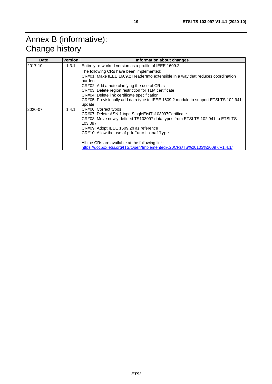# <span id="page-18-0"></span>Annex B (informative): Change history

| Date    | <b>Version</b> | <b>Information about changes</b>                                                                                                                                                                                                                                                                                                                                                                                                                                                                                                                                                                                                                                                                                                                                                                        |
|---------|----------------|---------------------------------------------------------------------------------------------------------------------------------------------------------------------------------------------------------------------------------------------------------------------------------------------------------------------------------------------------------------------------------------------------------------------------------------------------------------------------------------------------------------------------------------------------------------------------------------------------------------------------------------------------------------------------------------------------------------------------------------------------------------------------------------------------------|
| 2017-10 | 1.3.1          | Entirely re-worked version as a profile of IEEE 1609.2                                                                                                                                                                                                                                                                                                                                                                                                                                                                                                                                                                                                                                                                                                                                                  |
| 2020-07 | 1.4.1          | The following CRs have been implemented:<br>CR#01: Make IEEE 1609.2 HeaderInfo extensible in a way that reduces coordination<br>lburden.<br>CR#02: Add a note clarifying the use of CRLs<br>CR#03: Delete region restriction for TLM certificate<br>CR#04: Delete link certificate specification<br>CR#05: Provisionally add data type to IEEE 1609.2 module to support ETSI TS 102 941<br>update<br>CR#06: Correct typos<br>CR#07: Delete ASN.1 type SingleEtsiTs103097Certificate<br>CR#08: Move newly defined TS103097 data types from ETSI TS 102 941 to ETSI TS<br>103 097<br>CR#09: Adopt IEEE 1609.2b as reference<br>CR#10: Allow the use of pduFunctionalType<br>All the CRs are available at the following link:<br>https://docbox.etsi.org/ITS/Open/Implemented%20CRs/TS%20103%20097/V1.4.1/ |